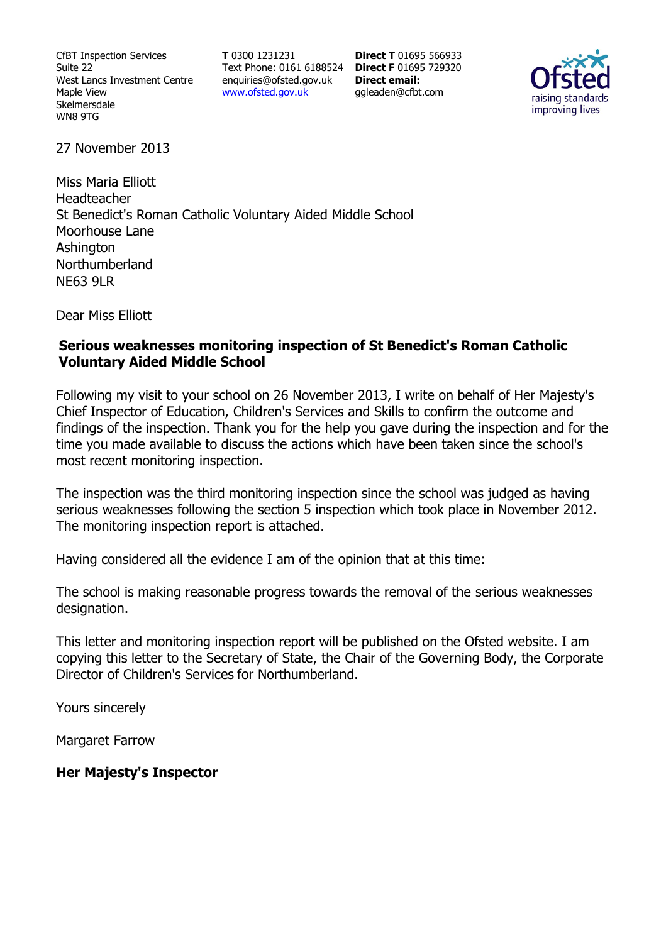CfBT Inspection Services Suite 22 West Lancs Investment Centre Maple View Skelmersdale WN8 9TG

**T** 0300 1231231 Text Phone: 0161 6188524 **Direct F** 01695 729320 enquiries@ofsted.gov.uk www.ofsted.gov.uk

**Direct T** 01695 566933 **Direct email:**  ggleaden@cfbt.com



27 November 2013

Miss Maria Elliott Headteacher St Benedict's Roman Catholic Voluntary Aided Middle School Moorhouse Lane **Ashington** Northumberland **NE63 9LR** 

Dear Miss Elliott

#### **Serious weaknesses monitoring inspection of St Benedict's Roman Catholic Voluntary Aided Middle School**

Following my visit to your school on 26 November 2013, I write on behalf of Her Majesty's Chief Inspector of Education, Children's Services and Skills to confirm the outcome and findings of the inspection. Thank you for the help you gave during the inspection and for the time you made available to discuss the actions which have been taken since the school's most recent monitoring inspection.

The inspection was the third monitoring inspection since the school was judged as having serious weaknesses following the section 5 inspection which took place in November 2012. The monitoring inspection report is attached.

Having considered all the evidence I am of the opinion that at this time:

The school is making reasonable progress towards the removal of the serious weaknesses designation.

This letter and monitoring inspection report will be published on the Ofsted website. I am copying this letter to the Secretary of State, the Chair of the Governing Body, the Corporate Director of Children's Services for Northumberland.

Yours sincerely

Margaret Farrow

**Her Majesty's Inspector**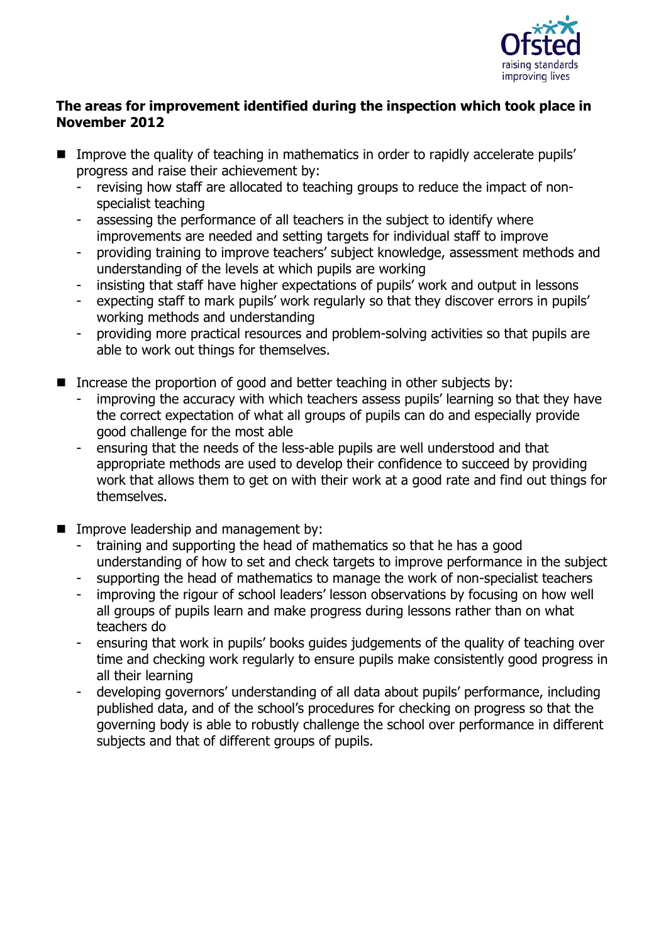

### **The areas for improvement identified during the inspection which took place in November 2012**

- **IMPROVE THE GUALARY OF THE 10 IMPROVE THE VIOLET IN THE IMPROVE THE VIOLEY** progress and raise their achievement by:
	- revising how staff are allocated to teaching groups to reduce the impact of nonspecialist teaching
	- assessing the performance of all teachers in the subject to identify where improvements are needed and setting targets for individual staff to improve
	- providing training to improve teachers' subject knowledge, assessment methods and understanding of the levels at which pupils are working
	- insisting that staff have higher expectations of pupils' work and output in lessons
	- expecting staff to mark pupils' work regularly so that they discover errors in pupils' working methods and understanding
	- providing more practical resources and problem-solving activities so that pupils are able to work out things for themselves.
- Increase the proportion of good and better teaching in other subjects by:
	- improving the accuracy with which teachers assess pupils' learning so that they have the correct expectation of what all groups of pupils can do and especially provide good challenge for the most able
	- ensuring that the needs of the less-able pupils are well understood and that appropriate methods are used to develop their confidence to succeed by providing work that allows them to get on with their work at a good rate and find out things for themselves.
- **IMPROVE leadership and management by:** 
	- training and supporting the head of mathematics so that he has a good understanding of how to set and check targets to improve performance in the subject
	- supporting the head of mathematics to manage the work of non-specialist teachers
	- improving the rigour of school leaders' lesson observations by focusing on how well all groups of pupils learn and make progress during lessons rather than on what teachers do
	- ensuring that work in pupils' books guides judgements of the quality of teaching over time and checking work regularly to ensure pupils make consistently good progress in all their learning
	- developing governors' understanding of all data about pupils' performance, including published data, and of the school's procedures for checking on progress so that the governing body is able to robustly challenge the school over performance in different subjects and that of different groups of pupils.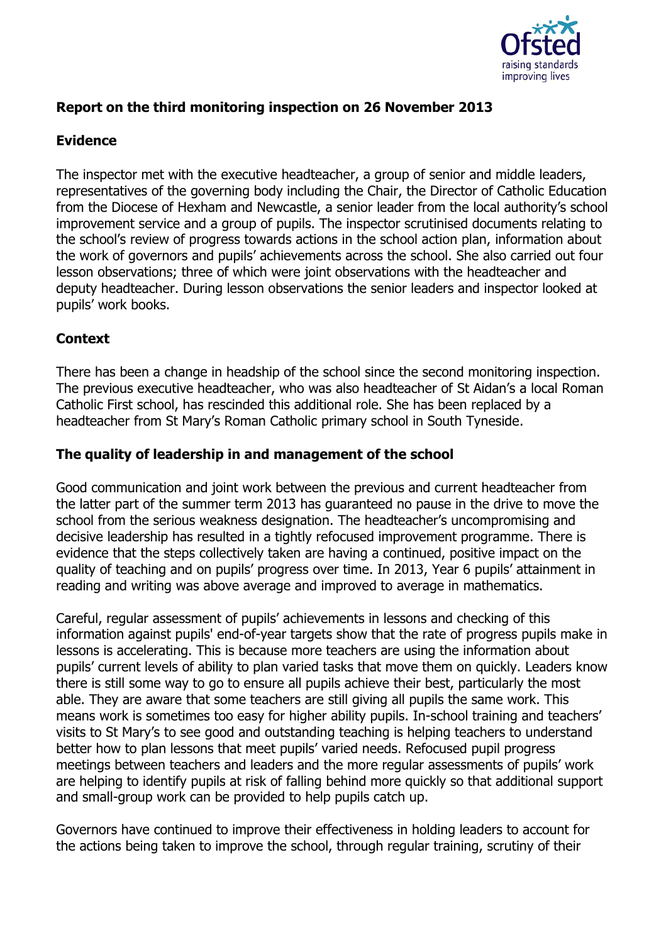

## **Report on the third monitoring inspection on 26 November 2013**

## **Evidence**

The inspector met with the executive headteacher, a group of senior and middle leaders, representatives of the governing body including the Chair, the Director of Catholic Education from the Diocese of Hexham and Newcastle, a senior leader from the local authority's school improvement service and a group of pupils. The inspector scrutinised documents relating to the school's review of progress towards actions in the school action plan, information about the work of governors and pupils' achievements across the school. She also carried out four lesson observations; three of which were joint observations with the headteacher and deputy headteacher. During lesson observations the senior leaders and inspector looked at pupils' work books.

# **Context**

There has been a change in headship of the school since the second monitoring inspection. The previous executive headteacher, who was also headteacher of St Aidan's a local Roman Catholic First school, has rescinded this additional role. She has been replaced by a headteacher from St Mary's Roman Catholic primary school in South Tyneside.

## **The quality of leadership in and management of the school**

Good communication and joint work between the previous and current headteacher from the latter part of the summer term 2013 has guaranteed no pause in the drive to move the school from the serious weakness designation. The headteacher's uncompromising and decisive leadership has resulted in a tightly refocused improvement programme. There is evidence that the steps collectively taken are having a continued, positive impact on the quality of teaching and on pupils' progress over time. In 2013, Year 6 pupils' attainment in reading and writing was above average and improved to average in mathematics.

Careful, regular assessment of pupils' achievements in lessons and checking of this information against pupils' end-of-year targets show that the rate of progress pupils make in lessons is accelerating. This is because more teachers are using the information about pupils' current levels of ability to plan varied tasks that move them on quickly. Leaders know there is still some way to go to ensure all pupils achieve their best, particularly the most able. They are aware that some teachers are still giving all pupils the same work. This means work is sometimes too easy for higher ability pupils. In-school training and teachers' visits to St Mary's to see good and outstanding teaching is helping teachers to understand better how to plan lessons that meet pupils' varied needs. Refocused pupil progress meetings between teachers and leaders and the more regular assessments of pupils' work are helping to identify pupils at risk of falling behind more quickly so that additional support and small-group work can be provided to help pupils catch up.

Governors have continued to improve their effectiveness in holding leaders to account for the actions being taken to improve the school, through regular training, scrutiny of their